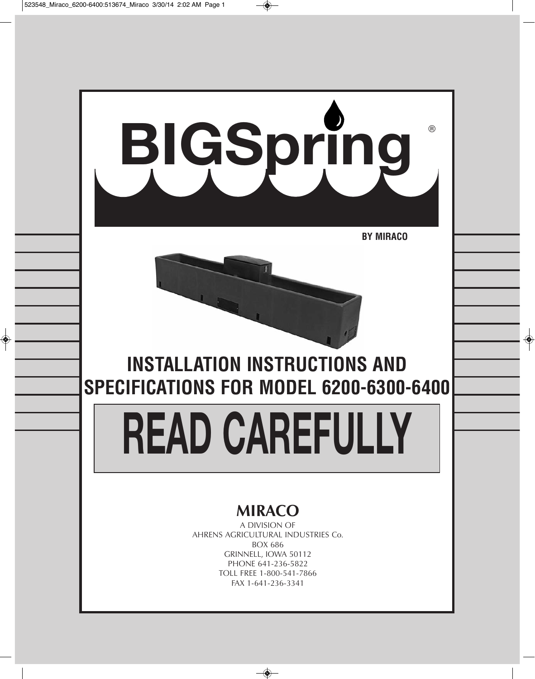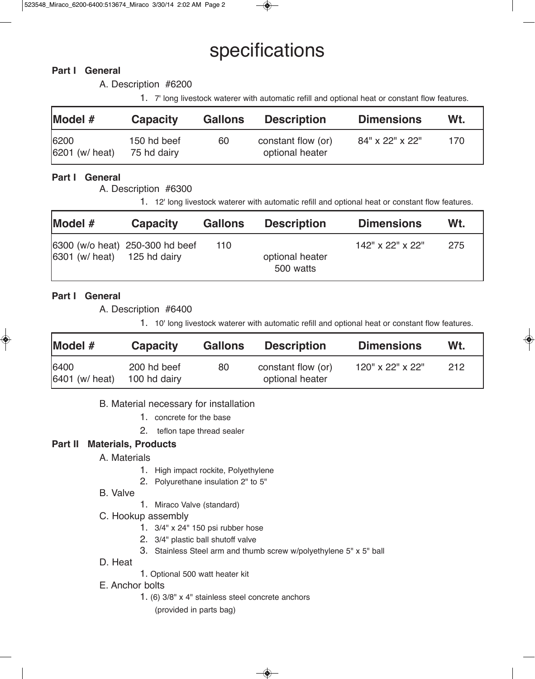# specifications

# **Part I General**

A. Description #6200

1. 7' long livestock waterer with automatic refill and optional heat or constant flow features.

| Model #                | <b>Capacity</b>            | <b>Gallons</b> | <b>Description</b>                    | <b>Dimensions</b> | Wt. |
|------------------------|----------------------------|----------------|---------------------------------------|-------------------|-----|
| 6200<br>6201 (w/ heat) | 150 hd beef<br>75 hd dairy | 60             | constant flow (or)<br>optional heater | 84" x 22" x 22"   | 170 |

# **Part I General**

A. Description #6300

1. 12' long livestock waterer with automatic refill and optional heat or constant flow features.

| Model#                                   | <b>Capacity</b>                 | <b>Gallons</b> | <b>Description</b>           | <b>Dimensions</b> | Wt. |
|------------------------------------------|---------------------------------|----------------|------------------------------|-------------------|-----|
| $ 6301 \ (w/\,\text{heat})$ 125 hd dairy | 6300 (w/o heat) 250-300 hd beef | 110            | optional heater<br>500 watts | 142" x 22" x 22"  | 275 |

# **Part I General**

A. Description #6400

1. 10' long livestock waterer with automatic refill and optional heat or constant flow features.

| Model #                | <b>Capacity</b>             | <b>Gallons</b> | <b>Description</b>                    | <b>Dimensions</b> | Wt. |
|------------------------|-----------------------------|----------------|---------------------------------------|-------------------|-----|
| 6400<br>6401 (w/ heat) | 200 hd beef<br>100 hd dairy | 80             | constant flow (or)<br>optional heater | 120" x 22" x 22"  | 212 |

#### B. Material necessary for installation

- 1. concrete for the base
- 2. teflon tape thread sealer

### **Part II Materials, Products**

- A. Materials
	- 1. High impact rockite, Polyethylene
	- 2. Polyurethane insulation 2" to 5"
- B. Valve
- 1. Miraco Valve (standard)
- C. Hookup assembly
	- 1. 3/4" x 24" 150 psi rubber hose
	- 2. 3/4" plastic ball shutoff valve
	- 3. Stainless Steel arm and thumb screw w/polyethylene 5" x 5" ball
- D. Heat
- 1. Optional 500 watt heater kit
- E. Anchor bolts
	- 1. (6) 3/8" x 4" stainless steel concrete anchors

(provided in parts bag)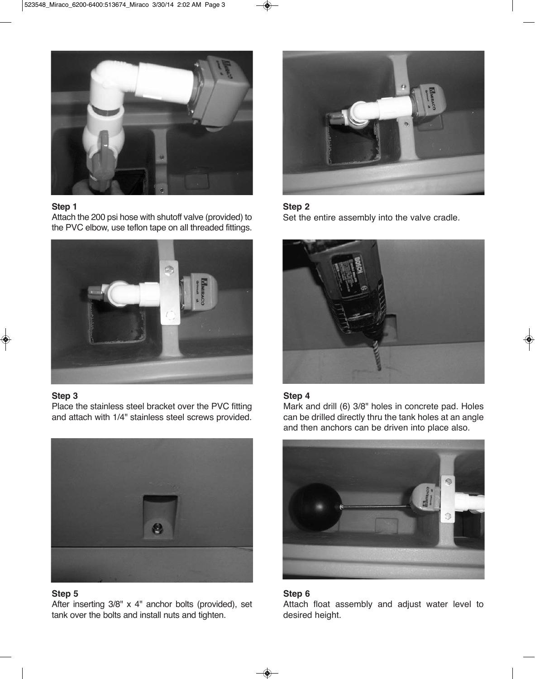

#### **Step 1**

Attach the 200 psi hose with shutoff valve (provided) to the PVC elbow, use teflon tape on all threaded fittings.



#### **Step 3**

Place the stainless steel bracket over the PVC fitting and attach with 1/4" stainless steel screws provided.



## **Step 5**

After inserting 3/8" x 4" anchor bolts (provided), set tank over the bolts and install nuts and tighten.



#### **Step 2**

Set the entire assembly into the valve cradle.



#### **Step 4**

Mark and drill (6) 3/8" holes in concrete pad. Holes can be drilled directly thru the tank holes at an angle and then anchors can be driven into place also.



#### **Step 6**

Attach float assembly and adjust water level to desired height.